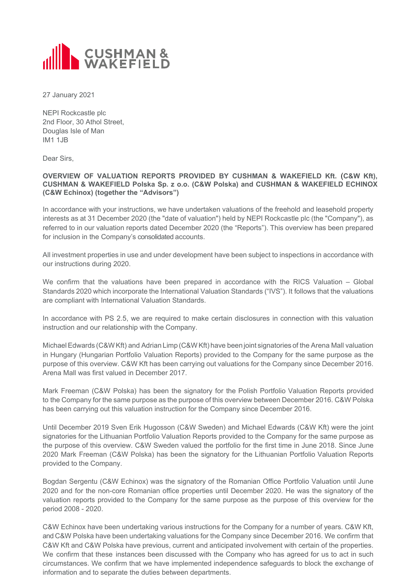

27 January 2021

NEPI Rockcastle plc 2nd Floor, 30 Athol Street, Douglas Isle of Man IM1 1JB

Dear Sirs,

## **OVERVIEW OF VALUATION REPORTS PROVIDED BY CUSHMAN & WAKEFIELD Kft.** (**C&W Kft), CUSHMAN & WAKEFIELD Polska Sp. z o.o. (C&W Polska) and CUSHMAN & WAKEFIELD ECHINOX (C&W Echinox) (together the "Advisors")**

In accordance with your instructions, we have undertaken valuations of the freehold and leasehold property interests as at 31 December 2020 (the "date of valuation") held by NEPI Rockcastle plc (the "Company"), as referred to in our valuation reports dated December 2020 (the "Reports"). This overview has been prepared for inclusion in the Company's consolidated accounts.

All investment properties in use and under development have been subject to inspections in accordance with our instructions during 2020.

We confirm that the valuations have been prepared in accordance with the RICS Valuation – Global Standards 2020 which incorporate the International Valuation Standards ("IVS"). It follows that the valuations are compliant with International Valuation Standards.

In accordance with PS 2.5, we are required to make certain disclosures in connection with this valuation instruction and our relationship with the Company.

Michael Edwards (C&W Kft) and Adrian Limp (C&W Kft) have been joint signatories of the Arena Mall valuation in Hungary (Hungarian Portfolio Valuation Reports) provided to the Company for the same purpose as the purpose of this overview. C&W Kft has been carrying out valuations for the Company since December 2016. Arena Mall was first valued in December 2017.

Mark Freeman (C&W Polska) has been the signatory for the Polish Portfolio Valuation Reports provided to the Company for the same purpose as the purpose of this overview between December 2016. C&W Polska has been carrying out this valuation instruction for the Company since December 2016.

Until December 2019 Sven Erik Hugosson (C&W Sweden) and Michael Edwards (C&W Kft) were the joint signatories for the Lithuanian Portfolio Valuation Reports provided to the Company for the same purpose as the purpose of this overview. C&W Sweden valued the portfolio for the first time in June 2018. Since June 2020 Mark Freeman (C&W Polska) has been the signatory for the Lithuanian Portfolio Valuation Reports provided to the Company.

Bogdan Sergentu (C&W Echinox) was the signatory of the Romanian Office Portfolio Valuation until June 2020 and for the non-core Romanian office properties until December 2020. He was the signatory of the valuation reports provided to the Company for the same purpose as the purpose of this overview for the period 2008 - 2020.

C&W Echinox have been undertaking various instructions for the Company for a number of years. C&W Kft, and C&W Polska have been undertaking valuations for the Company since December 2016. We confirm that C&W Kft and C&W Polska have previous, current and anticipated involvement with certain of the properties. We confirm that these instances been discussed with the Company who has agreed for us to act in such circumstances. We confirm that we have implemented independence safeguards to block the exchange of information and to separate the duties between departments.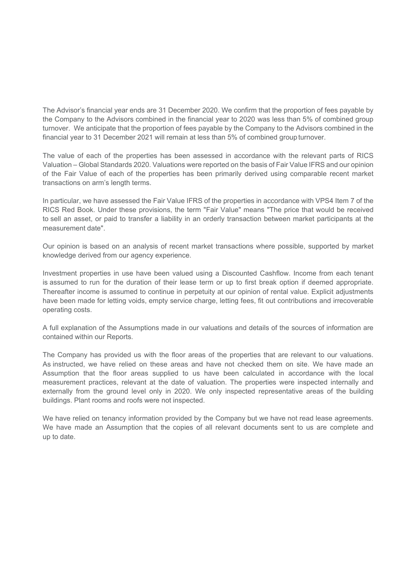The Advisor's financial year ends are 31 December 2020. We confirm that the proportion of fees payable by the Company to the Advisors combined in the financial year to 2020 was less than 5% of combined group turnover. We anticipate that the proportion of fees payable by the Company to the Advisors combined in the financial year to 31 December 2021 will remain at less than 5% of combined group turnover.

The value of each of the properties has been assessed in accordance with the relevant parts of RICS Valuation – Global Standards 2020. Valuations were reported on the basis of Fair Value IFRS and our opinion of the Fair Value of each of the properties has been primarily derived using comparable recent market transactions on arm's length terms.

In particular, we have assessed the Fair Value IFRS of the properties in accordance with VPS4 Item 7 of the RICS Red Book. Under these provisions, the term "Fair Value" means "The price that would be received to sell an asset, or paid to transfer a liability in an orderly transaction between market participants at the measurement date".

Our opinion is based on an analysis of recent market transactions where possible, supported by market knowledge derived from our agency experience.

Investment properties in use have been valued using a Discounted Cashflow. Income from each tenant is assumed to run for the duration of their lease term or up to first break option if deemed appropriate. Thereafter income is assumed to continue in perpetuity at our opinion of rental value. Explicit adjustments have been made for letting voids, empty service charge, letting fees, fit out contributions and irrecoverable operating costs.

A full explanation of the Assumptions made in our valuations and details of the sources of information are contained within our Reports.

The Company has provided us with the floor areas of the properties that are relevant to our valuations. As instructed, we have relied on these areas and have not checked them on site. We have made an Assumption that the floor areas supplied to us have been calculated in accordance with the local measurement practices, relevant at the date of valuation. The properties were inspected internally and externally from the ground level only in 2020. We only inspected representative areas of the building buildings. Plant rooms and roofs were not inspected.

We have relied on tenancy information provided by the Company but we have not read lease agreements. We have made an Assumption that the copies of all relevant documents sent to us are complete and up to date.